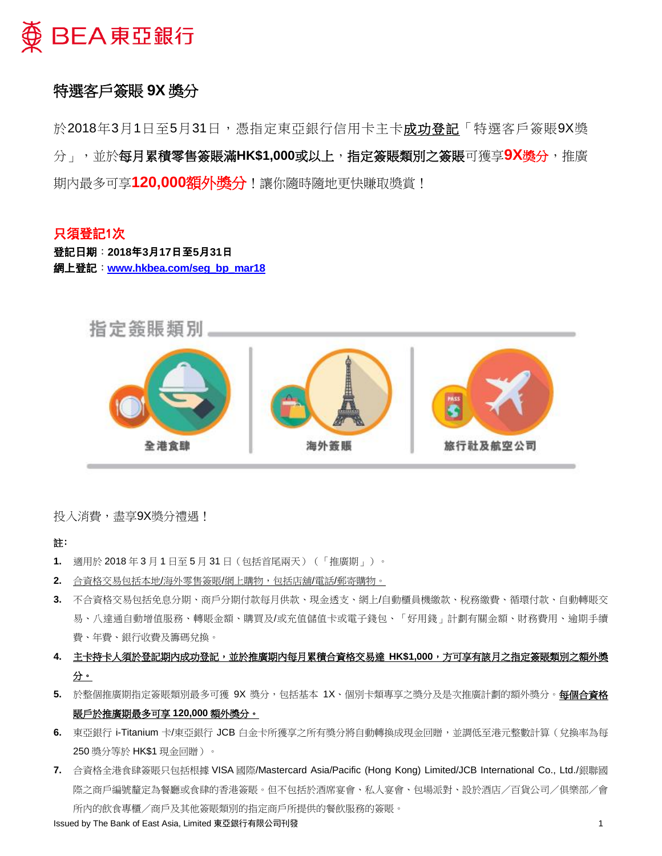

# 特選客戶簽賬 **9X** 獎分

於2018年3月1日至5月31日,憑指定東亞銀行信用卡主卡**成功登記**「特選客戶簽賬9X獎 分」,並於每月累積零售簽賬滿**HK\$1,000**或以上,指定簽賬類別之簽賬可獲享**9X**獎分,推廣 期內最多可享**120,000**額外獎分!讓你隨時隨地更快賺取獎賞!

## 只須登記1次 登記日期:**2018**年**3**月**17**日至**5**月**31**日 網上登記:**[www.hkbea.com/seg\\_bp\\_mar18](www.hkbea.com/seg_bp_mar18)**



投入消費,盡享9X獎分禮遇!

## 註﹕

- **1.** 適用於 2018 年 3 月 1 日至 5 月 31 日(包括首尾兩天)(「推廣期」)。
- **2.** 合資格交易包括本地/海外零售簽賬/網上購物,包括店舖/電話/郵寄購物。
- **3.** 不合資格交易包括免息分期、商戶分期付款每月供款、現金透支、網上/自動櫃員機繳款、稅務繳費、循環付款、自動轉賬交 易、八達通自動增值服務、轉賬金額、購買及/或充值儲值卡或電子錢包、「好用錢」計劃有關金額、財務費用、逾期手續 費、年費、銀行收費及籌碼兌換。
- **4.** 主卡持卡人須於登記期內成功登記,並於推廣期內每月累積合資格交易達 **HK\$1,000**,方可享有該月之指定簽賬類別之額外獎 分。
- 5. 於整個推廣期指定簽賬類別最多可獲 9X 獎分,包括基本 1X、個別卡類專享之獎分及是次推廣計劃的額外獎分。**每個合資格** 賬戶於推廣期最多可享 **120,000** 額外獎分。
- **6.** 東亞銀行 i-Titanium 卡/東亞銀行 JCB 白金卡所獲享之所有獎分將自動轉換成現金回贈,並調低至港元整數計算(兌換率為每 250 獎分等於 HK\$1 現金回贈)。
- **7.** 合資格全港食肆簽賬只包括根據 VISA 國際/Mastercard Asia/Pacific (Hong Kong) Limited/JCB International Co., Ltd./銀聯國 際之商戶編號釐定為餐廳或食肆的香港簽賬。但不包括於酒席宴會、私人宴會、包場派對、設於酒店/百貨公司/俱樂部/會 所內的飲食專櫃/商戶及其他簽賬類別的指定商戶所提供的餐飲服務的簽賬。

Issued by The Bank of East Asia, Limited 東亞銀行有限公司刊發 1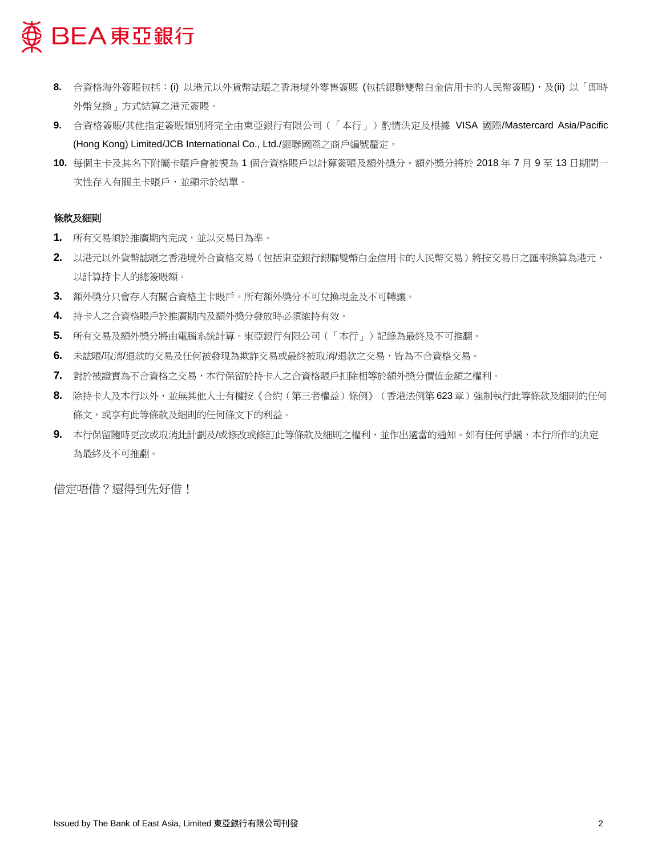

- 8. 合資格海外簽賬包括:(i) 以港元以外貨幣誌賬之香港境外零售簽賬 (包括銀聯雙幣白金信用卡的人民幣簽賬), 及(ii) 以「即時 外幣兌換」方式結算之港元簽賬。
- **9.** 合資格簽賬/其他指定簽賬類別將完全由東亞銀行有限公司(「本行」)酌情決定及根據 VISA 國際/Mastercard Asia/Pacific (Hong Kong) Limited/JCB International Co., Ltd./銀聯國際之商戶編號釐定。
- **10.** 每個主卡及其名下附屬卡賬戶會被視為 1 個合資格賬戶以計算簽賬及額外獎分。額外獎分將於 2018 年 7 月 9 至 13 日期間一 次性存入有關主卡賬戶,並顯示於結單。

## 條款及細則

- **1.** 所有交易須於推廣期內完成,並以交易日為準。
- **2.** 以港元以外貨幣誌賬之香港境外合資格交易(包括東亞銀行銀聯雙幣白金信用卡的人民幣交易)將按交易日之匯率換算為港元, 以計算持卡人的總簽賬額。
- **3.** 額外獎分只會存入有關合資格主卡賬戶。所有額外獎分不可兌換現金及不可轉讓。
- **4.** 持卡人之合資格賬戶於推廣期內及額外獎分發放時必須維持有效。
- **5.** 所有交易及額外獎分將由電腦系統計算。東亞銀行有限公司(「本行」)記錄為最終及不可推翻。
- **6.** 未誌賬/取消/退款的交易及任何被發現為欺詐交易或最終被取消/退款之交易,皆為不合資格交易。
- **7.** 對於被證實為不合資格之交易,本行保留於持卡人之合資格賬戶扣除相等於額外獎分價值金額之權利。
- 8. 除持卡人及本行以外,並無其他人士有權按《合約(第三者權益)條例》(香港法例第623章)強制執行此等條款及細則的任何 條文,或享有此等條款及細則的任何條文下的利益。
- **9.** 本行保留隨時更改或取消此計劃及/或修改或修訂此等條款及細則之權利,並作出適當的通知。如有任何爭議,本行所作的決定 為最終及不可推翻。

借定唔借?還得到先好借!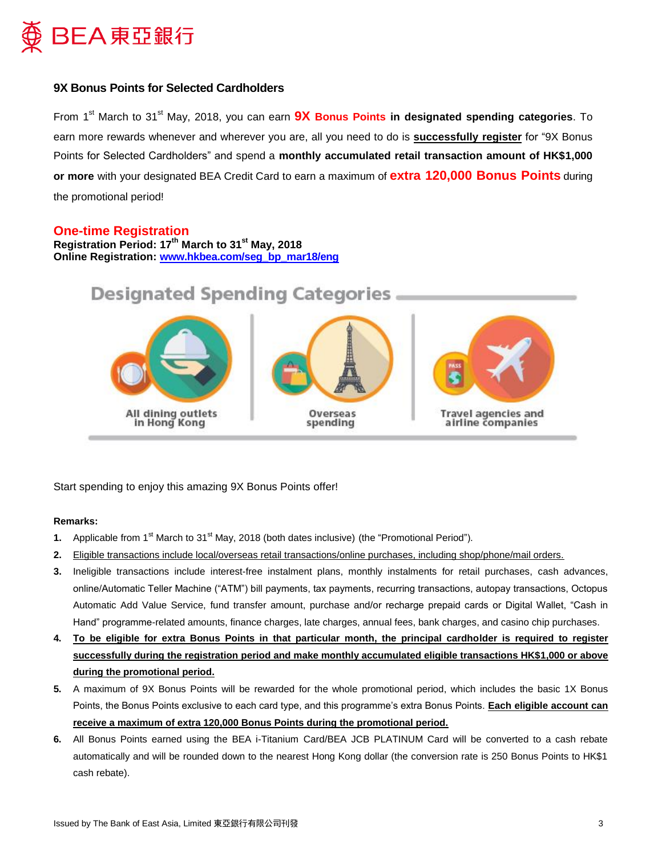

## **9X Bonus Points for Selected Cardholders**

From 1<sup>st</sup> March to 31<sup>st</sup> May, 2018, you can earn **9X Bonus Points in designated spending categories**. To earn more rewards whenever and wherever you are, all you need to do is **successfully register** for "9X Bonus Points for Selected Cardholders" and spend a **monthly accumulated retail transaction amount of HK\$1,000 or more** with your designated BEA Credit Card to earn a maximum of **extra 120,000 Bonus Points** during the promotional period!

## **One-time Registration**

**Registration Period: 17th March to 31st May, 2018 Online Registration: [www.hkbea.com/seg\\_bp\\_mar18/eng](www.hkbea.com/seg_bp_mar18/eng)**



Start spending to enjoy this amazing 9X Bonus Points offer!

## **Remarks:**

- **1.** Applicable from 1<sup>st</sup> March to 31<sup>st</sup> May, 2018 (both dates inclusive) (the "Promotional Period").
- **2.** Eligible transactions include local/overseas retail transactions/online purchases, including shop/phone/mail orders.
- **3.** Ineligible transactions include interest-free instalment plans, monthly instalments for retail purchases, cash advances, online/Automatic Teller Machine ("ATM") bill payments, tax payments, recurring transactions, autopay transactions, Octopus Automatic Add Value Service, fund transfer amount, purchase and/or recharge prepaid cards or Digital Wallet, "Cash in Hand" programme-related amounts, finance charges, late charges, annual fees, bank charges, and casino chip purchases.
- **4. To be eligible for extra Bonus Points in that particular month, the principal cardholder is required to register successfully during the registration period and make monthly accumulated eligible transactions HK\$1,000 or above during the promotional period.**
- **5.** A maximum of 9X Bonus Points will be rewarded for the whole promotional period, which includes the basic 1X Bonus Points, the Bonus Points exclusive to each card type, and this programme's extra Bonus Points. **Each eligible account can receive a maximum of extra 120,000 Bonus Points during the promotional period.**
- **6.** All Bonus Points earned using the BEA i-Titanium Card/BEA JCB PLATINUM Card will be converted to a cash rebate automatically and will be rounded down to the nearest Hong Kong dollar (the conversion rate is 250 Bonus Points to HK\$1 cash rebate).